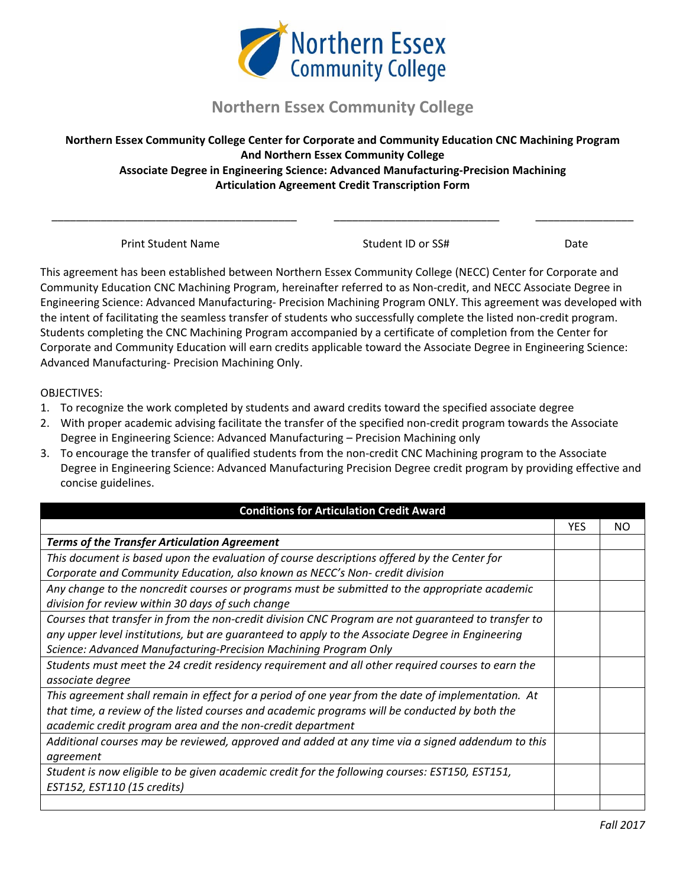

## **Northern Essex Community College**

**Northern Essex Community College Center for Corporate and Community Education CNC Machining Program And Northern Essex Community College Associate Degree in Engineering Science: Advanced Manufacturing‐Precision Machining Articulation Agreement Credit Transcription Form**

\_\_\_\_\_\_\_\_\_\_\_\_\_\_\_\_\_\_\_\_\_\_\_\_\_\_\_\_\_\_\_\_\_\_\_\_\_\_\_\_ \_\_\_\_\_\_\_\_\_\_\_\_\_\_\_\_\_\_\_\_\_\_\_\_\_\_\_ \_\_\_\_\_\_\_\_\_\_\_\_\_\_\_\_

Print Student Name Student ID or SS# Date

This agreement has been established between Northern Essex Community College (NECC) Center for Corporate and Community Education CNC Machining Program, hereinafter referred to as Non‐credit, and NECC Associate Degree in Engineering Science: Advanced Manufacturing‐ Precision Machining Program ONLY. This agreement was developed with the intent of facilitating the seamless transfer of students who successfully complete the listed non-credit program. Students completing the CNC Machining Program accompanied by a certificate of completion from the Center for Corporate and Community Education will earn credits applicable toward the Associate Degree in Engineering Science: Advanced Manufacturing‐ Precision Machining Only.

## OBJECTIVES:

- 1. To recognize the work completed by students and award credits toward the specified associate degree
- 2. With proper academic advising facilitate the transfer of the specified non‐credit program towards the Associate Degree in Engineering Science: Advanced Manufacturing – Precision Machining only
- 3. To encourage the transfer of qualified students from the non‐credit CNC Machining program to the Associate Degree in Engineering Science: Advanced Manufacturing Precision Degree credit program by providing effective and concise guidelines.

| <b>Conditions for Articulation Credit Award</b>                                                     |            |    |  |
|-----------------------------------------------------------------------------------------------------|------------|----|--|
|                                                                                                     | <b>YES</b> | NΟ |  |
| <b>Terms of the Transfer Articulation Agreement</b>                                                 |            |    |  |
| This document is based upon the evaluation of course descriptions offered by the Center for         |            |    |  |
| Corporate and Community Education, also known as NECC's Non- credit division                        |            |    |  |
| Any change to the noncredit courses or programs must be submitted to the appropriate academic       |            |    |  |
| division for review within 30 days of such change                                                   |            |    |  |
| Courses that transfer in from the non-credit division CNC Program are not quaranteed to transfer to |            |    |  |
| any upper level institutions, but are guaranteed to apply to the Associate Degree in Engineering    |            |    |  |
| Science: Advanced Manufacturing-Precision Machining Program Only                                    |            |    |  |
| Students must meet the 24 credit residency requirement and all other required courses to earn the   |            |    |  |
| associate degree                                                                                    |            |    |  |
| This agreement shall remain in effect for a period of one year from the date of implementation. At  |            |    |  |
| that time, a review of the listed courses and academic programs will be conducted by both the       |            |    |  |
| academic credit program area and the non-credit department                                          |            |    |  |
| Additional courses may be reviewed, approved and added at any time via a signed addendum to this    |            |    |  |
| agreement                                                                                           |            |    |  |
| Student is now eligible to be given academic credit for the following courses: EST150, EST151,      |            |    |  |
| EST152, EST110 (15 credits)                                                                         |            |    |  |
|                                                                                                     |            |    |  |